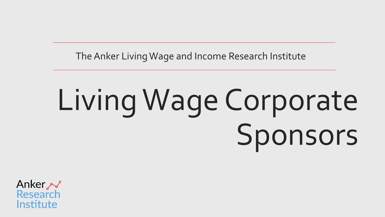The Anker Living Wage and Income Research Institute

# Living Wage Corporate Sponsors

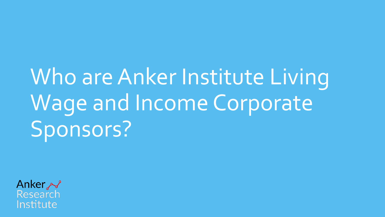## Who are Anker Institute Living Wage and Income Corporate Sponsors?

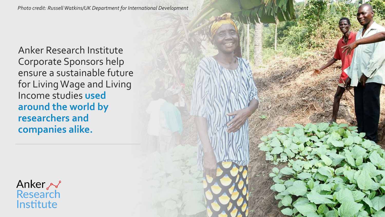*Photo credit: Russell Watkins/UK Department for International Development*

Anker Research Institute Corporate Sponsors help ensure a sustainable future for Living Wage and Living Income studies **used around the world by researchers and companies alike.**

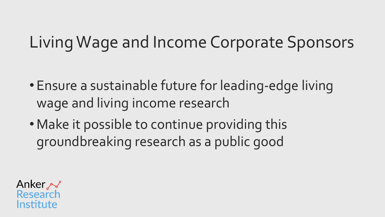## Living Wage and Income Corporate Sponsors

- Ensure a sustainable future for leading-edge living wage and living income research
- Make it possible to continue providing this groundbreaking research as a public good

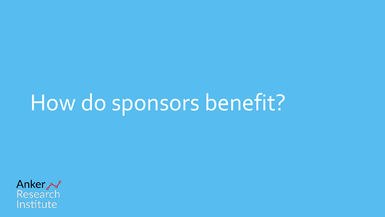## How do sponsors benefit?

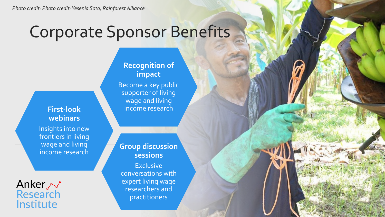### Corporate Sponsor Benefits

#### **First-look webinars**

Insights into new frontiers in living wage and living income research

Anker ~ Research Institute

#### **Recognition of impact**

Become a key public supporter of living wage and living income research

#### **Group discussion sessions**

**Exclusive** conversations with expert living wage researchers and practitioners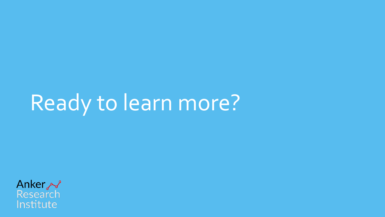## Ready to learn more?

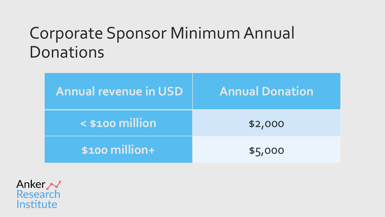### Corporate Sponsor Minimum Annual Donations

| <b>Annual revenue in USD</b> | <b>Annual Donation</b> |
|------------------------------|------------------------|
| $<$ \$100 million            | \$2,000                |
| $$100$ million+              | \$5,000                |

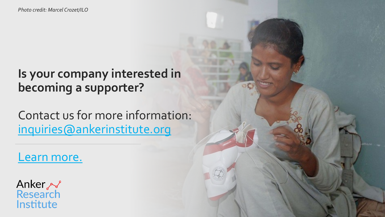### **Is your company interested in becoming a supporter?**

Contact us for more information: [inquiries@ankerinstitute.org](mailto:inquiries@ankerinstitute.org)

[Learn more.](https://ankerresearchinstitute.org/)

Anker ~<br>Research Institute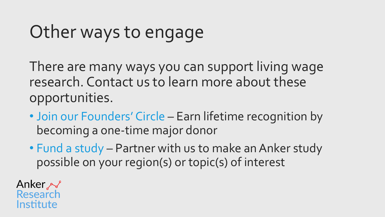## Other ways to engage

There are many ways you can support living wage research. Contact us to learn more about these opportunities.

- Join our Founders' Circle Earn lifetime recognition by becoming a one-time major donor
- Fund a study Partner with us to make an Anker study possible on your region(s) or topic(s) of interest

Anker ~ Research Institute